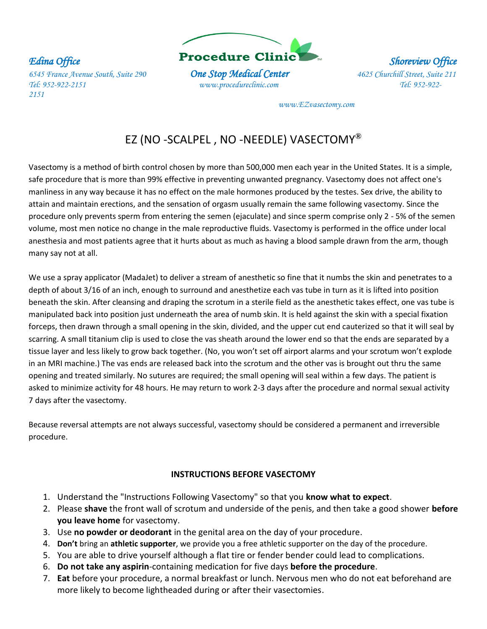*Tel: 952-922-2151 www.procedureclinic.com Tel: 952-922- 2151* 



 *www.EZvasectomy.com* 

# EZ (NO -SCALPEL , NO -NEEDLE) VASECTOMY**®**

Vasectomy is a method of birth control chosen by more than 500,000 men each year in the United States. It is a simple, safe procedure that is more than 99% effective in preventing unwanted pregnancy. Vasectomy does not affect one's manliness in any way because it has no effect on the male hormones produced by the testes. Sex drive, the ability to attain and maintain erections, and the sensation of orgasm usually remain the same following vasectomy. Since the procedure only prevents sperm from entering the semen (ejaculate) and since sperm comprise only 2 - 5% of the semen volume, most men notice no change in the male reproductive fluids. Vasectomy is performed in the office under local anesthesia and most patients agree that it hurts about as much as having a blood sample drawn from the arm, though many say not at all.

We use a spray applicator (MadaJet) to deliver a stream of anesthetic so fine that it numbs the skin and penetrates to a depth of about 3/16 of an inch, enough to surround and anesthetize each vas tube in turn as it is lifted into position beneath the skin. After cleansing and draping the scrotum in a sterile field as the anesthetic takes effect, one vas tube is manipulated back into position just underneath the area of numb skin. It is held against the skin with a special fixation forceps, then drawn through a small opening in the skin, divided, and the upper cut end cauterized so that it will seal by scarring. A small titanium clip is used to close the vas sheath around the lower end so that the ends are separated by a tissue layer and less likely to grow back together. (No, you won't set off airport alarms and your scrotum won't explode in an MRI machine.) The vas ends are released back into the scrotum and the other vas is brought out thru the same opening and treated similarly. No sutures are required; the small opening will seal within a few days. The patient is asked to minimize activity for 48 hours. He may return to work 2-3 days after the procedure and normal sexual activity 7 days after the vasectomy.

Because reversal attempts are not always successful, vasectomy should be considered a permanent and irreversible procedure.

## **INSTRUCTIONS BEFORE VASECTOMY**

- 1. Understand the "Instructions Following Vasectomy" so that you **know what to expect**.
- 2. Please **shave** the front wall of scrotum and underside of the penis, and then take a good shower **before you leave home** for vasectomy.
- 3. Use **no powder or deodorant** in the genital area on the day of your procedure.
- 4. **Don't** bring an **athletic supporter**, we provide you a free athletic supporter on the day of the procedure.
- 5. You are able to drive yourself although a flat tire or fender bender could lead to complications.
- 6. **Do not take any aspirin**-containing medication for five days **before the procedure**.
- 7. **Eat** before your procedure, a normal breakfast or lunch. Nervous men who do not eat beforehand are more likely to become lightheaded during or after their vasectomies.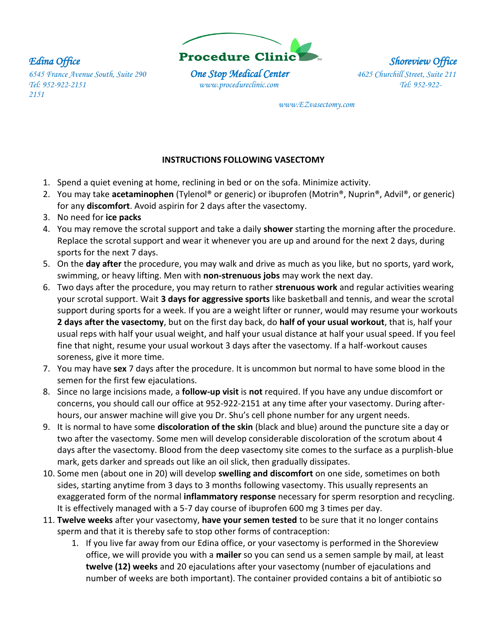

 *www.EZvasectomy.com* 

## **INSTRUCTIONS FOLLOWING VASECTOMY**

- 1. Spend a quiet evening at home, reclining in bed or on the sofa. Minimize activity.
- 2. You may take **acetaminophen** (Tylenol® or generic) or ibuprofen (Motrin®, Nuprin®, Advil®, or generic) for any **discomfort**. Avoid aspirin for 2 days after the vasectomy.
- 3. No need for **ice packs**
- 4. You may remove the scrotal support and take a daily **shower** starting the morning after the procedure. Replace the scrotal support and wear it whenever you are up and around for the next 2 days, during sports for the next 7 days.
- 5. On the **day after** the procedure, you may walk and drive as much as you like, but no sports, yard work, swimming, or heavy lifting. Men with **non-strenuous jobs** may work the next day.
- 6. Two days after the procedure, you may return to rather **strenuous work** and regular activities wearing your scrotal support. Wait **3 days for aggressive sports** like basketball and tennis, and wear the scrotal support during sports for a week. If you are a weight lifter or runner, would may resume your workouts **2 days after the vasectomy**, but on the first day back, do **half of your usual workout**, that is, half your usual reps with half your usual weight, and half your usual distance at half your usual speed. If you feel fine that night, resume your usual workout 3 days after the vasectomy. If a half-workout causes soreness, give it more time.
- 7. You may have **sex** 7 days after the procedure. It is uncommon but normal to have some blood in the semen for the first few ejaculations.
- 8. Since no large incisions made, a **follow-up visit** is **not** required. If you have any undue discomfort or concerns, you should call our office at 952-922-2151 at any time after your vasectomy. During afterhours, our answer machine will give you Dr. Shu's cell phone number for any urgent needs.
- 9. It is normal to have some **discoloration of the skin** (black and blue) around the puncture site a day or two after the vasectomy. Some men will develop considerable discoloration of the scrotum about 4 days after the vasectomy. Blood from the deep vasectomy site comes to the surface as a purplish-blue mark, gets darker and spreads out like an oil slick, then gradually dissipates.
- 10. Some men (about one in 20) will develop **swelling and discomfort** on one side, sometimes on both sides, starting anytime from 3 days to 3 months following vasectomy. This usually represents an exaggerated form of the normal **inflammatory response** necessary for sperm resorption and recycling. It is effectively managed with a 5-7 day course of ibuprofen 600 mg 3 times per day.
- 11. **Twelve weeks** after your vasectomy, **have your semen tested** to be sure that it no longer contains sperm and that it is thereby safe to stop other forms of contraception:
	- 1. If you live far away from our Edina office, or your vasectomy is performed in the Shoreview office, we will provide you with a **mailer** so you can send us a semen sample by mail, at least **twelve (12) weeks** and 20 ejaculations after your vasectomy (number of ejaculations and number of weeks are both important). The container provided contains a bit of antibiotic so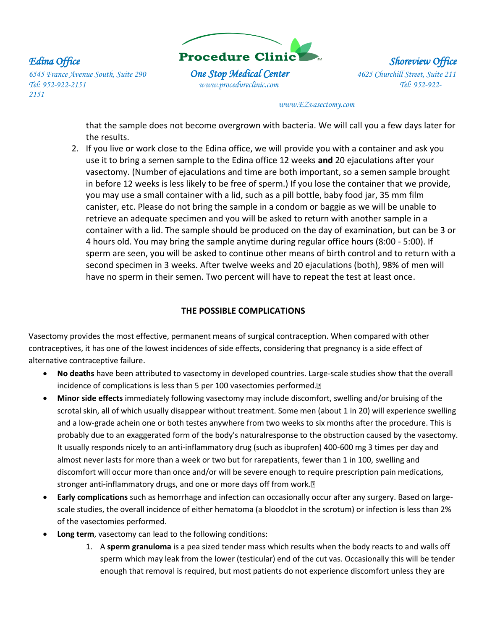

### *www.EZvasectomy.com*

that the sample does not become overgrown with bacteria. We will call you a few days later for the results.

2. If you live or work close to the Edina office, we will provide you with a container and ask you use it to bring a semen sample to the Edina office 12 weeks **and** 20 ejaculations after your vasectomy. (Number of ejaculations and time are both important, so a semen sample brought in before 12 weeks is less likely to be free of sperm.) If you lose the container that we provide, you may use a small container with a lid, such as a pill bottle, baby food jar, 35 mm film canister, etc. Please do not bring the sample in a condom or baggie as we will be unable to retrieve an adequate specimen and you will be asked to return with another sample in a container with a lid. The sample should be produced on the day of examination, but can be 3 or 4 hours old. You may bring the sample anytime during regular office hours (8:00 - 5:00). If sperm are seen, you will be asked to continue other means of birth control and to return with a second specimen in 3 weeks. After twelve weeks and 20 ejaculations (both), 98% of men will have no sperm in their semen. Two percent will have to repeat the test at least once.

## **THE POSSIBLE COMPLICATIONS**

Vasectomy provides the most effective, permanent means of surgical contraception. When compared with other contraceptives, it has one of the lowest incidences of side effects, considering that pregnancy is a side effect of alternative contraceptive failure.

- **No deaths** have been attributed to vasectomy in developed countries. Large-scale studies show that the overall incidence of complications is less than 5 per 100 vasectomies performed.<sup>[2]</sup>
- **Minor side effects** immediately following vasectomy may include discomfort, swelling and/or bruising of the scrotal skin, all of which usually disappear without treatment. Some men (about 1 in 20) will experience swelling and a low-grade achein one or both testes anywhere from two weeks to six months after the procedure. This is probably due to an exaggerated form of the body's naturalresponse to the obstruction caused by the vasectomy. It usually responds nicely to an anti-inflammatory drug (such as ibuprofen) 400-600 mg 3 times per day and almost never lasts for more than a week or two but for rarepatients, fewer than 1 in 100, swelling and discomfort will occur more than once and/or will be severe enough to require prescription pain medications, stronger anti-inflammatory drugs, and one or more days off from work.<sup>[7]</sup>
- **Early complications** such as hemorrhage and infection can occasionally occur after any surgery. Based on largescale studies, the overall incidence of either hematoma (a bloodclot in the scrotum) or infection is less than 2% of the vasectomies performed.
- **Long term**, vasectomy can lead to the following conditions:
	- 1. A **sperm granuloma** is a pea sized tender mass which results when the body reacts to and walls off sperm which may leak from the lower (testicular) end of the cut vas. Occasionally this will be tender enough that removal is required, but most patients do not experience discomfort unless they are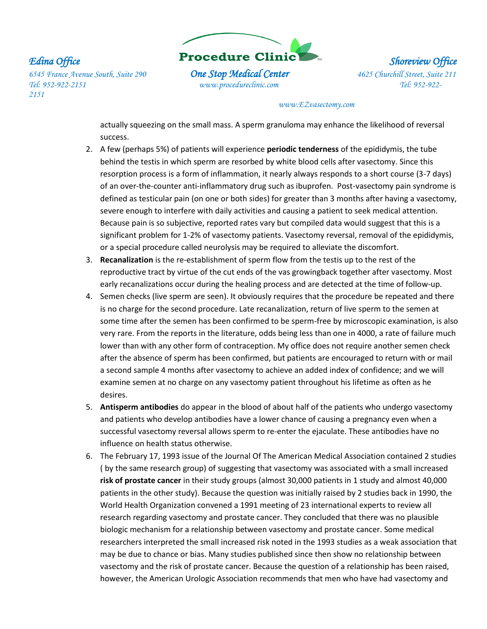

### *www.EZvasectomy.com*

actually squeezing on the small mass. A sperm granuloma may enhance the likelihood of reversal success.

- 2. A few (perhaps 5%) of patients will experience **periodic tenderness** of the epididymis, the tube behind the testis in which sperm are resorbed by white blood cells after vasectomy. Since this resorption process is a form of inflammation, it nearly always responds to a short course (3-7 days) of an over-the-counter anti-inflammatory drug such as ibuprofen. Post-vasectomy pain syndrome is defined as testicular pain (on one or both sides) for greater than 3 months after having a vasectomy, severe enough to interfere with daily activities and causing a patient to seek medical attention. Because pain is so subjective, reported rates vary but compiled data would suggest that this is a significant problem for 1-2% of vasectomy patients. Vasectomy reversal, removal of the epididymis, or a special procedure called neurolysis may be required to alleviate the discomfort.
- 3. **Recanalization** is the re-establishment of sperm flow from the testis up to the rest of the reproductive tract by virtue of the cut ends of the vas growingback together after vasectomy. Most early recanalizations occur during the healing process and are detected at the time of follow-up.
- 4. Semen checks (live sperm are seen). It obviously requires that the procedure be repeated and there is no charge for the second procedure. Late recanalization, return of live sperm to the semen at some time after the semen has been confirmed to be sperm-free by microscopic examination, is also very rare. From the reports in the literature, odds being less than one in 4000, a rate of failure much lower than with any other form of contraception. My office does not require another semen check after the absence of sperm has been confirmed, but patients are encouraged to return with or mail a second sample 4 months after vasectomy to achieve an added index of confidence; and we will examine semen at no charge on any vasectomy patient throughout his lifetime as often as he desires.
- 5. **Antisperm antibodies** do appear in the blood of about half of the patients who undergo vasectomy and patients who develop antibodies have a lower chance of causing a pregnancy even when a successful vasectomy reversal allows sperm to re-enter the ejaculate. These antibodies have no influence on health status otherwise.
- 6. The February 17, 1993 issue of the Journal Of The American Medical Association contained 2 studies ( by the same research group) of suggesting that vasectomy was associated with a small increased **risk of prostate cancer** in their study groups (almost 30,000 patients in 1 study and almost 40,000 patients in the other study). Because the question was initially raised by 2 studies back in 1990, the World Health Organization convened a 1991 meeting of 23 international experts to review all research regarding vasectomy and prostate cancer. They concluded that there was no plausible biologic mechanism for a relationship between vasectomy and prostate cancer. Some medical researchers interpreted the small increased risk noted in the 1993 studies as a weak association that may be due to chance or bias. Many studies published since then show no relationship between vasectomy and the risk of prostate cancer. Because the question of a relationship has been raised, however, the American Urologic Association recommends that men who have had vasectomy and